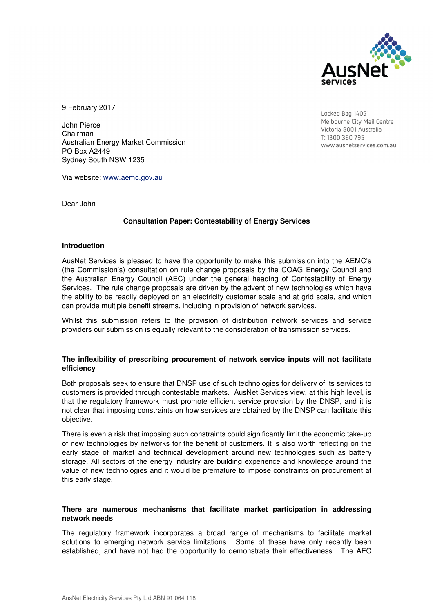

9 February 2017

John Pierce Chairman Australian Energy Market Commission PO Box A2449 Sydney South NSW 1235

Via website: www.aemc.gov.au

Dear John

## **Consultation Paper: Contestability of Energy Services**

#### **Introduction**

AusNet Services is pleased to have the opportunity to make this submission into the AEMC's (the Commission's) consultation on rule change proposals by the COAG Energy Council and the Australian Energy Council (AEC) under the general heading of Contestability of Energy Services. The rule change proposals are driven by the advent of new technologies which have the ability to be readily deployed on an electricity customer scale and at grid scale, and which can provide multiple benefit streams, including in provision of network services.

Whilst this submission refers to the provision of distribution network services and service providers our submission is equally relevant to the consideration of transmission services.

#### **The inflexibility of prescribing procurement of network service inputs will not facilitate efficiency**

Both proposals seek to ensure that DNSP use of such technologies for delivery of its services to customers is provided through contestable markets. AusNet Services view, at this high level, is that the regulatory framework must promote efficient service provision by the DNSP, and it is not clear that imposing constraints on how services are obtained by the DNSP can facilitate this objective.

There is even a risk that imposing such constraints could significantly limit the economic take-up of new technologies by networks for the benefit of customers. It is also worth reflecting on the early stage of market and technical development around new technologies such as battery storage. All sectors of the energy industry are building experience and knowledge around the value of new technologies and it would be premature to impose constraints on procurement at this early stage.

#### **There are numerous mechanisms that facilitate market participation in addressing network needs**

The regulatory framework incorporates a broad range of mechanisms to facilitate market solutions to emerging network service limitations. Some of these have only recently been established, and have not had the opportunity to demonstrate their effectiveness. The AEC

Locked Bag 14051 Melbourne City Mail Centre Victoria 8001 Australia T: 1300 360 795 www.ausnetservices.com.au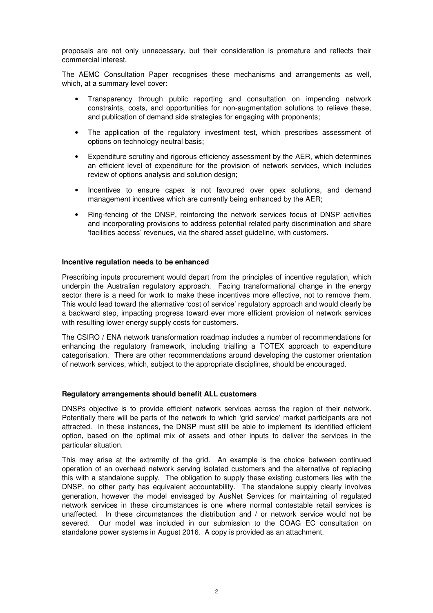proposals are not only unnecessary, but their consideration is premature and reflects their commercial interest.

The AEMC Consultation Paper recognises these mechanisms and arrangements as well, which, at a summary level cover:

- Transparency through public reporting and consultation on impending network constraints, costs, and opportunities for non-augmentation solutions to relieve these, and publication of demand side strategies for engaging with proponents;
- The application of the regulatory investment test, which prescribes assessment of options on technology neutral basis;
- Expenditure scrutiny and rigorous efficiency assessment by the AER, which determines an efficient level of expenditure for the provision of network services, which includes review of options analysis and solution design;
- Incentives to ensure capex is not favoured over opex solutions, and demand management incentives which are currently being enhanced by the AER;
- Ring-fencing of the DNSP, reinforcing the network services focus of DNSP activities and incorporating provisions to address potential related party discrimination and share 'facilities access' revenues, via the shared asset guideline, with customers.

#### **Incentive regulation needs to be enhanced**

Prescribing inputs procurement would depart from the principles of incentive regulation, which underpin the Australian regulatory approach. Facing transformational change in the energy sector there is a need for work to make these incentives more effective, not to remove them. This would lead toward the alternative 'cost of service' regulatory approach and would clearly be a backward step, impacting progress toward ever more efficient provision of network services with resulting lower energy supply costs for customers.

The CSIRO / ENA network transformation roadmap includes a number of recommendations for enhancing the regulatory framework, including trialling a TOTEX approach to expenditure categorisation. There are other recommendations around developing the customer orientation of network services, which, subject to the appropriate disciplines, should be encouraged.

#### **Regulatory arrangements should benefit ALL customers**

DNSPs objective is to provide efficient network services across the region of their network. Potentially there will be parts of the network to which 'grid service' market participants are not attracted. In these instances, the DNSP must still be able to implement its identified efficient option, based on the optimal mix of assets and other inputs to deliver the services in the particular situation.

This may arise at the extremity of the grid. An example is the choice between continued operation of an overhead network serving isolated customers and the alternative of replacing this with a standalone supply. The obligation to supply these existing customers lies with the DNSP, no other party has equivalent accountability. The standalone supply clearly involves generation, however the model envisaged by AusNet Services for maintaining of regulated network services in these circumstances is one where normal contestable retail services is unaffected. In these circumstances the distribution and / or network service would not be severed. Our model was included in our submission to the COAG EC consultation on standalone power systems in August 2016. A copy is provided as an attachment.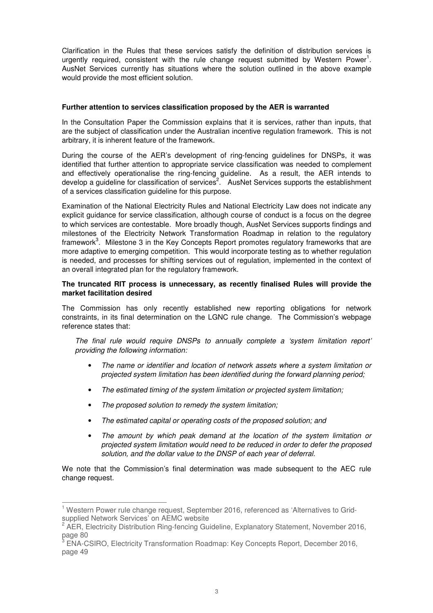Clarification in the Rules that these services satisfy the definition of distribution services is urgently required, consistent with the rule change request submitted by Western Power<sup>1</sup>. AusNet Services currently has situations where the solution outlined in the above example would provide the most efficient solution.

## **Further attention to services classification proposed by the AER is warranted**

In the Consultation Paper the Commission explains that it is services, rather than inputs, that are the subject of classification under the Australian incentive regulation framework. This is not arbitrary, it is inherent feature of the framework.

During the course of the AER's development of ring-fencing guidelines for DNSPs, it was identified that further attention to appropriate service classification was needed to complement and effectively operationalise the ring-fencing guideline. As a result, the AER intends to develop a guideline for classification of services<sup>2</sup>. AusNet Services supports the establishment of a services classification guideline for this purpose.

Examination of the National Electricity Rules and National Electricity Law does not indicate any explicit guidance for service classification, although course of conduct is a focus on the degree to which services are contestable. More broadly though, AusNet Services supports findings and milestones of the Electricity Network Transformation Roadmap in relation to the regulatory framework<sup>3</sup>. Milestone 3 in the Key Concepts Report promotes regulatory frameworks that are more adaptive to emerging competition. This would incorporate testing as to whether regulation is needed, and processes for shifting services out of regulation, implemented in the context of an overall integrated plan for the regulatory framework.

## **The truncated RIT process is unnecessary, as recently finalised Rules will provide the market facilitation desired**

The Commission has only recently established new reporting obligations for network constraints, in its final determination on the LGNC rule change. The Commission's webpage reference states that:

*The final rule would require DNSPs to annually complete a 'system limitation report' providing the following information:* 

- *The name or identifier and location of network assets where a system limitation or projected system limitation has been identified during the forward planning period;*
- *The estimated timing of the system limitation or projected system limitation;*
- *The proposed solution to remedy the system limitation;*
- *The estimated capital or operating costs of the proposed solution; and*
- *The amount by which peak demand at the location of the system limitation or projected system limitation would need to be reduced in order to defer the proposed solution, and the dollar value to the DNSP of each year of deferral.*

We note that the Commission's final determination was made subsequent to the AEC rule change request.

 1 Western Power rule change request, September 2016, referenced as 'Alternatives to Gridsupplied Network Services' on AEMC website<br><sup>2</sup> AER, Electricity Distribution Ring fancing Cui

AER, Electricity Distribution Ring-fencing Guideline, Explanatory Statement, November 2016, page 80<br> $3.5814$  C

ENA-CSIRO, Electricity Transformation Roadmap: Key Concepts Report, December 2016, page 49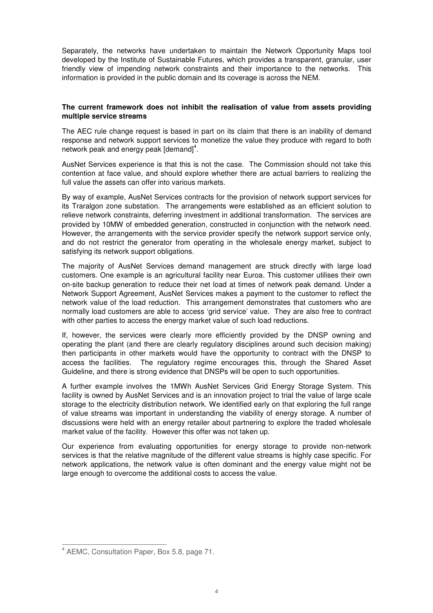Separately, the networks have undertaken to maintain the Network Opportunity Maps tool developed by the Institute of Sustainable Futures, which provides a transparent, granular, user friendly view of impending network constraints and their importance to the networks. This information is provided in the public domain and its coverage is across the NEM.

# **The current framework does not inhibit the realisation of value from assets providing multiple service streams**

The AEC rule change request is based in part on its claim that there is an inability of demand response and network support services to monetize the value they produce with regard to both network peak and energy peak  $\left[\text{demand}\right]^4$ .

AusNet Services experience is that this is not the case. The Commission should not take this contention at face value, and should explore whether there are actual barriers to realizing the full value the assets can offer into various markets.

By way of example, AusNet Services contracts for the provision of network support services for its Traralgon zone substation. The arrangements were established as an efficient solution to relieve network constraints, deferring investment in additional transformation. The services are provided by 10MW of embedded generation, constructed in conjunction with the network need. However, the arrangements with the service provider specify the network support service only, and do not restrict the generator from operating in the wholesale energy market, subject to satisfying its network support obligations.

The majority of AusNet Services demand management are struck directly with large load customers. One example is an agricultural facility near Euroa. This customer utilises their own on-site backup generation to reduce their net load at times of network peak demand. Under a Network Support Agreement, AusNet Services makes a payment to the customer to reflect the network value of the load reduction. This arrangement demonstrates that customers who are normally load customers are able to access 'grid service' value. They are also free to contract with other parties to access the energy market value of such load reductions.

If, however, the services were clearly more efficiently provided by the DNSP owning and operating the plant (and there are clearly regulatory disciplines around such decision making) then participants in other markets would have the opportunity to contract with the DNSP to access the facilities. The regulatory regime encourages this, through the Shared Asset Guideline, and there is strong evidence that DNSPs will be open to such opportunities.

A further example involves the 1MWh AusNet Services Grid Energy Storage System. This facility is owned by AusNet Services and is an innovation project to trial the value of large scale storage to the electricity distribution network. We identified early on that exploring the full range of value streams was important in understanding the viability of energy storage. A number of discussions were held with an energy retailer about partnering to explore the traded wholesale market value of the facility. However this offer was not taken up.

Our experience from evaluating opportunities for energy storage to provide non-network services is that the relative magnitude of the different value streams is highly case specific. For network applications, the network value is often dominant and the energy value might not be large enough to overcome the additional costs to access the value.

 4 AEMC, Consultation Paper, Box 5.8, page 71.